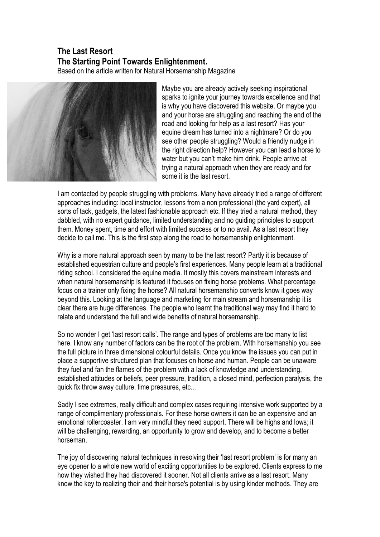## **The Last Resort The Starting Point Towards Enlightenment.**

Based on the article written for Natural Horsemanship Magazine



Maybe you are already actively seeking inspirational sparks to ignite your journey towards excellence and that is why you have discovered this website. Or maybe you and your horse are struggling and reaching the end of the road and looking for help as a last resort? Has your equine dream has turned into a nightmare? Or do you see other people struggling? Would a friendly nudge in the right direction help? However you can lead a horse to water but you can't make him drink. People arrive at trying a natural approach when they are ready and for some it is the last resort.

I am contacted by people struggling with problems. Many have already tried a range of different approaches including: local instructor, lessons from a non professional (the yard expert), all sorts of tack, gadgets, the latest fashionable approach etc. If they tried a natural method, they dabbled, with no expert guidance, limited understanding and no guiding principles to support them. Money spent, time and effort with limited success or to no avail. As a last resort they decide to call me. This is the first step along the road to horsemanship enlightenment.

Why is a more natural approach seen by many to be the last resort? Partly it is because of established equestrian culture and people's first experiences. Many people learn at a traditional riding school. I considered the equine media. It mostly this covers mainstream interests and when natural horsemanship is featured it focuses on fixing horse problems. What percentage focus on a trainer only fixing the horse? All natural horsemanship converts know it goes way beyond this. Looking at the language and marketing for main stream and horsemanship it is clear there are huge differences. The people who learnt the traditional way may find it hard to relate and understand the full and wide benefits of natural horsemanship.

So no wonder I get 'last resort calls'. The range and types of problems are too many to list here. I know any number of factors can be the root of the problem. With horsemanship you see the full picture in three dimensional colourful details. Once you know the issues you can put in place a supportive structured plan that focuses on horse and human. People can be unaware they fuel and fan the flames of the problem with a lack of knowledge and understanding, established attitudes or beliefs, peer pressure, tradition, a closed mind, perfection paralysis, the quick fix throw away culture, time pressures, etc…

Sadly I see extremes, really difficult and complex cases requiring intensive work supported by a range of complimentary professionals. For these horse owners it can be an expensive and an emotional rollercoaster. I am very mindful they need support. There will be highs and lows; it will be challenging, rewarding, an opportunity to grow and develop, and to become a better horseman.

The joy of discovering natural techniques in resolving their 'last resort problem' is for many an eye opener to a whole new world of exciting opportunities to be explored. Clients express to me how they wished they had discovered it sooner. Not all clients arrive as a last resort. Many know the key to realizing their and their horse's potential is by using kinder methods. They are